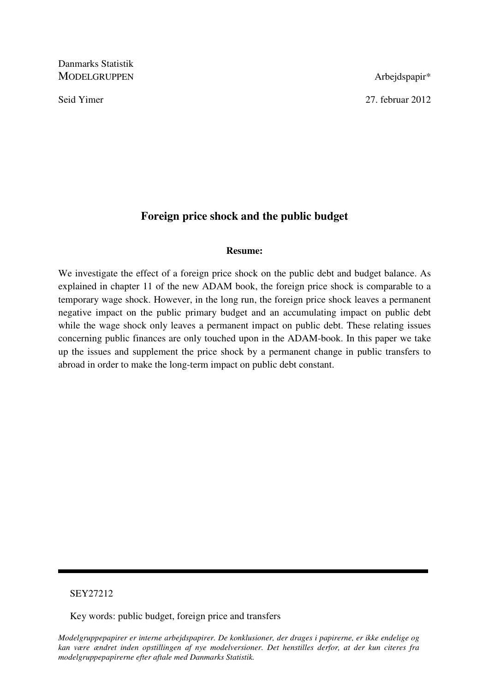Danmarks Statistik MODELGRUPPEN Arbejdspapir\*

Seid Yimer 2012

# **Foreign price shock and the public budget**

### **Resume:**

We investigate the effect of a foreign price shock on the public debt and budget balance. As explained in chapter 11 of the new ADAM book, the foreign price shock is comparable to a temporary wage shock. However, in the long run, the foreign price shock leaves a permanent negative impact on the public primary budget and an accumulating impact on public debt while the wage shock only leaves a permanent impact on public debt. These relating issues concerning public finances are only touched upon in the ADAM-book. In this paper we take up the issues and supplement the price shock by a permanent change in public transfers to abroad in order to make the long-term impact on public debt constant.

## SEY27212

Key words: public budget, foreign price and transfers

*Modelgruppepapirer er interne arbejdspapirer. De konklusioner, der drages i papirerne, er ikke endelige og kan være ændret inden opstillingen af nye modelversioner. Det henstilles derfor, at der kun citeres fra modelgruppepapirerne efter aftale med Danmarks Statistik.*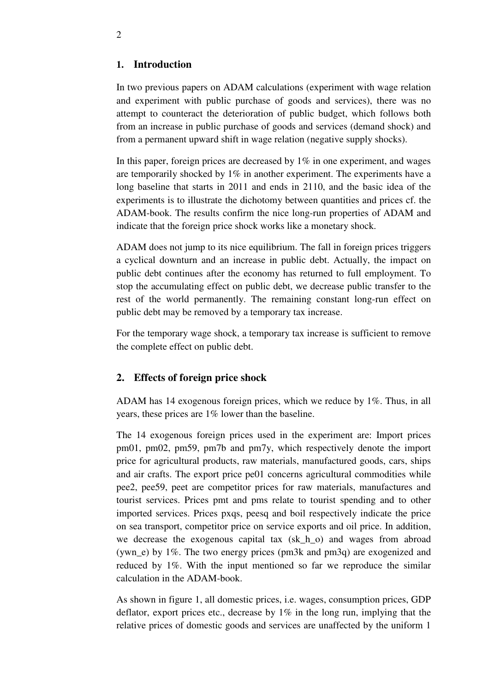## **1. Introduction**

In two previous papers on ADAM calculations (experiment with wage relation and experiment with public purchase of goods and services), there was no attempt to counteract the deterioration of public budget, which follows both from an increase in public purchase of goods and services (demand shock) and from a permanent upward shift in wage relation (negative supply shocks).

In this paper, foreign prices are decreased by  $1\%$  in one experiment, and wages are temporarily shocked by 1% in another experiment. The experiments have a long baseline that starts in 2011 and ends in 2110, and the basic idea of the experiments is to illustrate the dichotomy between quantities and prices cf. the ADAM-book. The results confirm the nice long-run properties of ADAM and indicate that the foreign price shock works like a monetary shock.

ADAM does not jump to its nice equilibrium. The fall in foreign prices triggers a cyclical downturn and an increase in public debt. Actually, the impact on public debt continues after the economy has returned to full employment. To stop the accumulating effect on public debt, we decrease public transfer to the rest of the world permanently. The remaining constant long-run effect on public debt may be removed by a temporary tax increase.

For the temporary wage shock, a temporary tax increase is sufficient to remove the complete effect on public debt.

## **2. Effects of foreign price shock**

ADAM has 14 exogenous foreign prices, which we reduce by 1%. Thus, in all years, these prices are 1% lower than the baseline.

The 14 exogenous foreign prices used in the experiment are: Import prices pm01, pm02, pm59, pm7b and pm7y, which respectively denote the import price for agricultural products, raw materials, manufactured goods, cars, ships and air crafts. The export price pe01 concerns agricultural commodities while pee2, pee59, peet are competitor prices for raw materials, manufactures and tourist services. Prices pmt and pms relate to tourist spending and to other imported services. Prices pxqs, peesq and boil respectively indicate the price on sea transport, competitor price on service exports and oil price. In addition, we decrease the exogenous capital tax (sk\_h\_o) and wages from abroad (ywn e) by  $1\%$ . The two energy prices (pm3k and pm3q) are exogenized and reduced by 1%. With the input mentioned so far we reproduce the similar calculation in the ADAM-book.

As shown in figure 1, all domestic prices, i.e. wages, consumption prices, GDP deflator, export prices etc., decrease by  $1\%$  in the long run, implying that the relative prices of domestic goods and services are unaffected by the uniform 1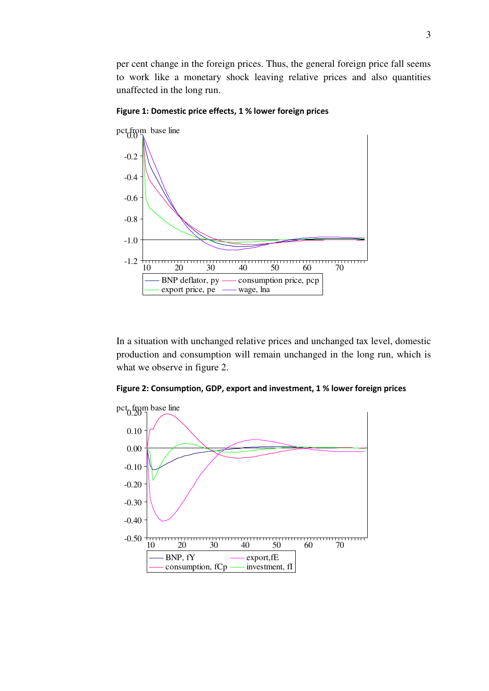per cent change in the foreign prices. Thus, the general foreign price fall seems to work like a monetary shock leaving relative prices and also quantities unaffected in the long run.



Figure 1: Domestic price effects, 1 % lower foreign prices

In a situation with unchanged relative prices and unchanged tax level, domestic production and consumption will remain unchanged in the long run, which is what we observe in figure 2.



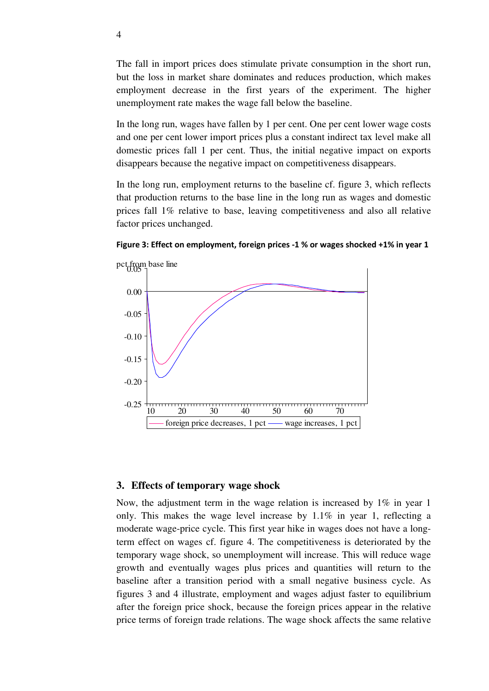The fall in import prices does stimulate private consumption in the short run, but the loss in market share dominates and reduces production, which makes employment decrease in the first years of the experiment. The higher unemployment rate makes the wage fall below the baseline.

In the long run, wages have fallen by 1 per cent. One per cent lower wage costs and one per cent lower import prices plus a constant indirect tax level make all domestic prices fall 1 per cent. Thus, the initial negative impact on exports disappears because the negative impact on competitiveness disappears.

In the long run, employment returns to the baseline cf. figure 3, which reflects that production returns to the base line in the long run as wages and domestic prices fall 1% relative to base, leaving competitiveness and also all relative factor prices unchanged.



Figure 3: Effect on employment, foreign prices -1 % or wages shocked +1% in year 1

#### **3. Effects of temporary wage shock**

Now, the adjustment term in the wage relation is increased by 1% in year 1 only. This makes the wage level increase by  $1.1\%$  in year 1, reflecting a moderate wage-price cycle. This first year hike in wages does not have a longterm effect on wages cf. figure 4. The competitiveness is deteriorated by the temporary wage shock, so unemployment will increase. This will reduce wage growth and eventually wages plus prices and quantities will return to the baseline after a transition period with a small negative business cycle. As figures 3 and 4 illustrate, employment and wages adjust faster to equilibrium after the foreign price shock, because the foreign prices appear in the relative price terms of foreign trade relations. The wage shock affects the same relative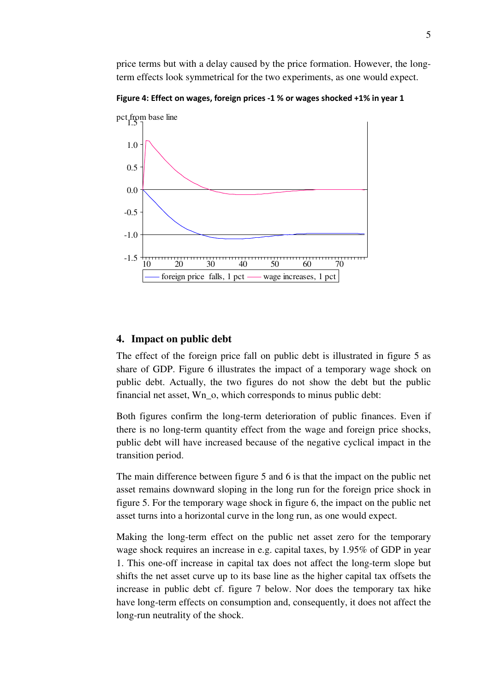price terms but with a delay caused by the price formation. However, the longterm effects look symmetrical for the two experiments, as one would expect.

Figure 4: Effect on wages, foreign prices -1 % or wages shocked +1% in year 1



#### **4. Impact on public debt**

The effect of the foreign price fall on public debt is illustrated in figure 5 as share of GDP. Figure 6 illustrates the impact of a temporary wage shock on public debt. Actually, the two figures do not show the debt but the public financial net asset, Wn\_o, which corresponds to minus public debt:

Both figures confirm the long-term deterioration of public finances. Even if there is no long-term quantity effect from the wage and foreign price shocks, public debt will have increased because of the negative cyclical impact in the transition period.

The main difference between figure 5 and 6 is that the impact on the public net asset remains downward sloping in the long run for the foreign price shock in figure 5. For the temporary wage shock in figure 6, the impact on the public net asset turns into a horizontal curve in the long run, as one would expect.

Making the long-term effect on the public net asset zero for the temporary wage shock requires an increase in e.g. capital taxes, by 1.95% of GDP in year 1. This one-off increase in capital tax does not affect the long-term slope but shifts the net asset curve up to its base line as the higher capital tax offsets the increase in public debt cf. figure 7 below. Nor does the temporary tax hike have long-term effects on consumption and, consequently, it does not affect the long-run neutrality of the shock.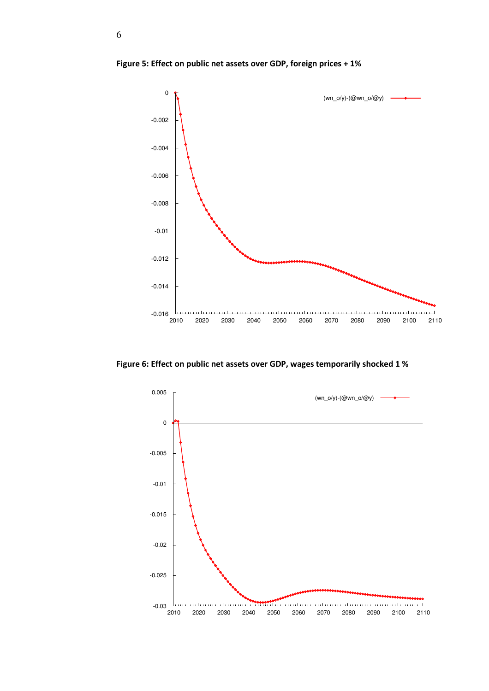

Figure 5: Effect on public net assets over GDP, foreign prices + 1%

Figure 6: Effect on public net assets over GDP, wages temporarily shocked 1 %

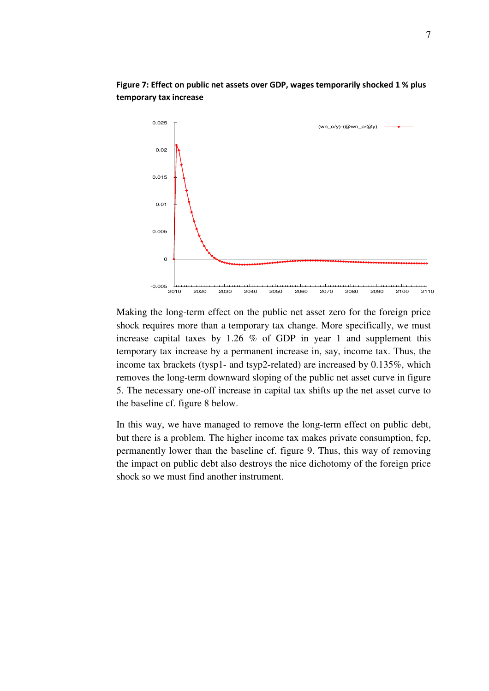

Figure 7: Effect on public net assets over GDP, wages temporarily shocked 1 % plus temporary tax increase

Making the long-term effect on the public net asset zero for the foreign price shock requires more than a temporary tax change. More specifically, we must increase capital taxes by 1.26 % of GDP in year 1 and supplement this temporary tax increase by a permanent increase in, say, income tax. Thus, the income tax brackets (tysp1- and tsyp2-related) are increased by 0.135%, which removes the long-term downward sloping of the public net asset curve in figure 5. The necessary one-off increase in capital tax shifts up the net asset curve to the baseline cf. figure 8 below.

In this way, we have managed to remove the long-term effect on public debt, but there is a problem. The higher income tax makes private consumption, fcp, permanently lower than the baseline cf. figure 9. Thus, this way of removing the impact on public debt also destroys the nice dichotomy of the foreign price shock so we must find another instrument.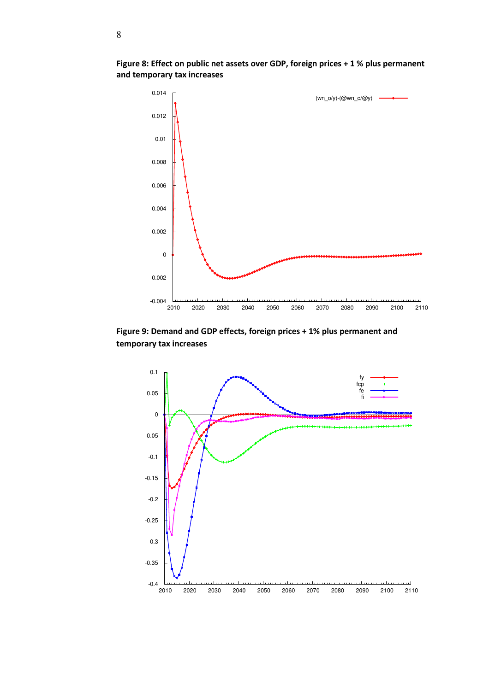

Figure 8: Effect on public net assets over GDP, foreign prices + 1 % plus permanent and temporary tax increases

Figure 9: Demand and GDP effects, foreign prices + 1% plus permanent and temporary tax increases

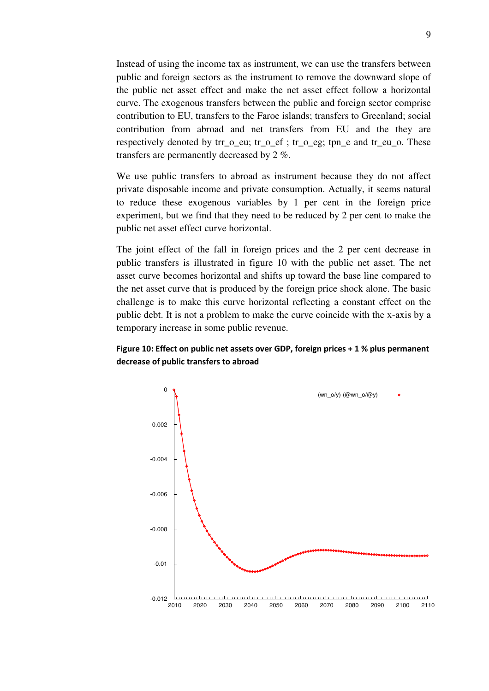Instead of using the income tax as instrument, we can use the transfers between public and foreign sectors as the instrument to remove the downward slope of the public net asset effect and make the net asset effect follow a horizontal curve. The exogenous transfers between the public and foreign sector comprise contribution to EU, transfers to the Faroe islands; transfers to Greenland; social contribution from abroad and net transfers from EU and the they are respectively denoted by  $\text{tr}_o$  eu;  $\text{tr}_o$  ef ;  $\text{tr}_o$  eg;  $\text{tr}_o$  and  $\text{tr}_e$  eu  $o$ . These transfers are permanently decreased by 2 %.

We use public transfers to abroad as instrument because they do not affect private disposable income and private consumption. Actually, it seems natural to reduce these exogenous variables by 1 per cent in the foreign price experiment, but we find that they need to be reduced by 2 per cent to make the public net asset effect curve horizontal.

The joint effect of the fall in foreign prices and the 2 per cent decrease in public transfers is illustrated in figure 10 with the public net asset. The net asset curve becomes horizontal and shifts up toward the base line compared to the net asset curve that is produced by the foreign price shock alone. The basic challenge is to make this curve horizontal reflecting a constant effect on the public debt. It is not a problem to make the curve coincide with the x-axis by a temporary increase in some public revenue.

## Figure 10: Effect on public net assets over GDP, foreign prices + 1 % plus permanent decrease of public transfers to abroad

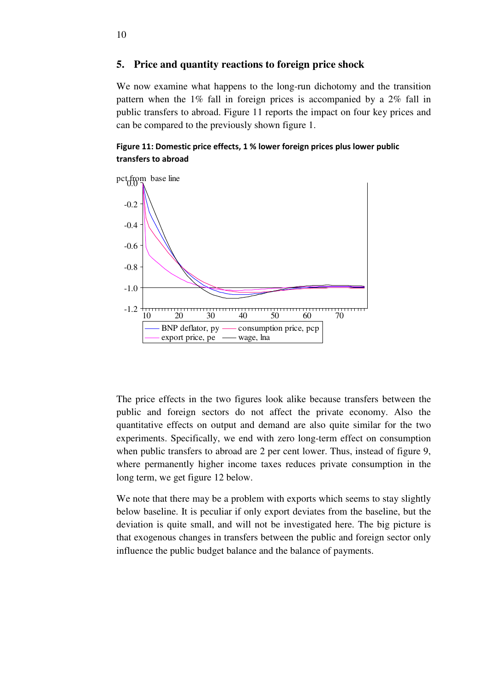### **5. Price and quantity reactions to foreign price shock**

We now examine what happens to the long-run dichotomy and the transition pattern when the 1% fall in foreign prices is accompanied by a 2% fall in public transfers to abroad. Figure 11 reports the impact on four key prices and can be compared to the previously shown figure 1.

### Figure 11: Domestic price effects, 1 % lower foreign prices plus lower public transfers to abroad



The price effects in the two figures look alike because transfers between the public and foreign sectors do not affect the private economy. Also the quantitative effects on output and demand are also quite similar for the two experiments. Specifically, we end with zero long-term effect on consumption when public transfers to abroad are 2 per cent lower. Thus, instead of figure 9, where permanently higher income taxes reduces private consumption in the long term, we get figure 12 below.

We note that there may be a problem with exports which seems to stay slightly below baseline. It is peculiar if only export deviates from the baseline, but the deviation is quite small, and will not be investigated here. The big picture is that exogenous changes in transfers between the public and foreign sector only influence the public budget balance and the balance of payments.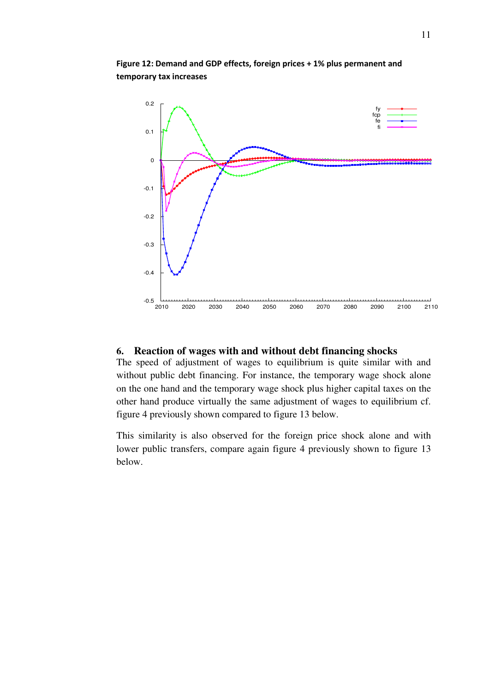

Figure 12: Demand and GDP effects, foreign prices + 1% plus permanent and temporary tax increases

## **6. Reaction of wages with and without debt financing shocks**

The speed of adjustment of wages to equilibrium is quite similar with and without public debt financing. For instance, the temporary wage shock alone on the one hand and the temporary wage shock plus higher capital taxes on the other hand produce virtually the same adjustment of wages to equilibrium cf. figure 4 previously shown compared to figure 13 below.

This similarity is also observed for the foreign price shock alone and with lower public transfers, compare again figure 4 previously shown to figure 13 below.